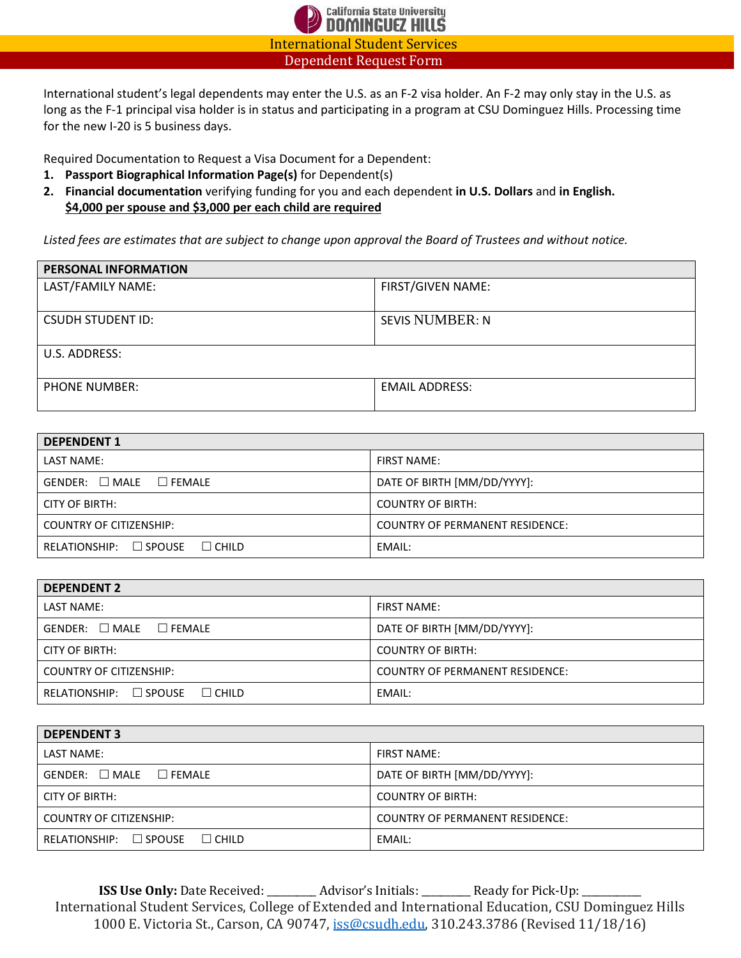

International student's legal dependents may enter the U.S. as an F-2 visa holder. An F-2 may only stay in the U.S. as long as the F-1 principal visa holder is in status and participating in a program at CSU Dominguez Hills. Processing time for the new I-20 is 5 business days.

Required Documentation to Request a Visa Document for a Dependent:

- **1. Passport Biographical Information Page(s)** for Dependent(s)
- **2. Financial documentation** verifying funding for you and each dependent **in U.S. Dollars** and **in English. \$4,000 per spouse and \$3,000 per each child are required**

*Listed fees are estimates that are subject to change upon approval the Board of Trustees and without notice.* 

| PERSONAL INFORMATION     |                        |  |
|--------------------------|------------------------|--|
| LAST/FAMILY NAME:        | FIRST/GIVEN NAME:      |  |
| <b>CSUDH STUDENT ID:</b> | <b>SEVIS NUMBER: N</b> |  |
| U.S. ADDRESS:            |                        |  |
| <b>PHONE NUMBER:</b>     | <b>EMAIL ADDRESS:</b>  |  |

| <b>DEPENDENT 1</b>                          |                                        |  |  |
|---------------------------------------------|----------------------------------------|--|--|
| LAST NAME:                                  | <b>FIRST NAME:</b>                     |  |  |
| $GENDER: \square MALE \square FEMALE$       | DATE OF BIRTH [MM/DD/YYYY]:            |  |  |
| CITY OF BIRTH:                              | <b>COUNTRY OF BIRTH:</b>               |  |  |
| COUNTRY OF CITIZENSHIP:                     | <b>COUNTRY OF PERMANENT RESIDENCE:</b> |  |  |
| $RELATIONSHIP: \Box SPOUSE$<br>$\Box$ CHILD | EMAIL:                                 |  |  |

| <b>DEPENDENT 2</b>                          |                                        |  |
|---------------------------------------------|----------------------------------------|--|
| LAST NAME:                                  | <b>FIRST NAME:</b>                     |  |
| $GENDER: \square MALE \square FEMALE$       | DATE OF BIRTH [MM/DD/YYYY]:            |  |
| <b>CITY OF BIRTH:</b>                       | <b>COUNTRY OF BIRTH:</b>               |  |
| <b>COUNTRY OF CITIZENSHIP:</b>              | <b>COUNTRY OF PERMANENT RESIDENCE:</b> |  |
| $RELATIONSHIP: \Box SPOUSE$<br>$\Box$ CHILD | EMAIL:                                 |  |

| <b>DEPENDENT 3</b>                          |                                        |  |  |
|---------------------------------------------|----------------------------------------|--|--|
| LAST NAME:                                  | <b>FIRST NAME:</b>                     |  |  |
| $GENDER: \square MALE \square FEMALE$       | DATE OF BIRTH [MM/DD/YYYY]:            |  |  |
| <b>CITY OF BIRTH:</b>                       | <b>COUNTRY OF BIRTH:</b>               |  |  |
| <b>COUNTRY OF CITIZENSHIP:</b>              | <b>COUNTRY OF PERMANENT RESIDENCE:</b> |  |  |
| $RELATIONSHIP: \Box SPOUSE$<br>$\Box$ CHILD | EMAIL:                                 |  |  |

**ISS Use Only:** Date Received: \_\_\_\_\_\_\_\_\_ Advisor's Initials: \_\_\_\_\_\_\_\_ Ready for Pick-Up: \_ International Student Services, College of Extended and International Education, CSU Dominguez Hills 1000 E. Victoria St., Carson, CA 90747, [iss@csudh.edu,](mailto:iss@csudh.edu) 310.243.3786 (Revised 11/18/16)